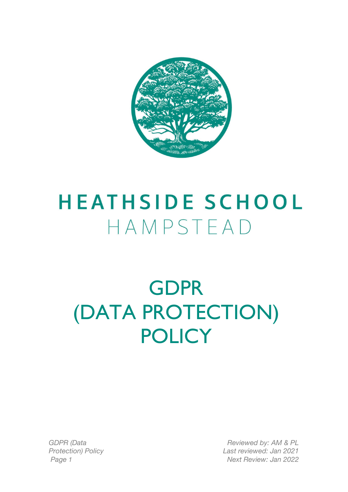

# **HEATHSIDE SCHOOL** HAMPSTEAD

# GDPR (DATA PROTECTION) **POLICY**

*GDPR (Data Protection) Policy*

*Reviewed by: AM & PL Last reviewed: Jan 2021 Page 1 Next Review: Jan 2022*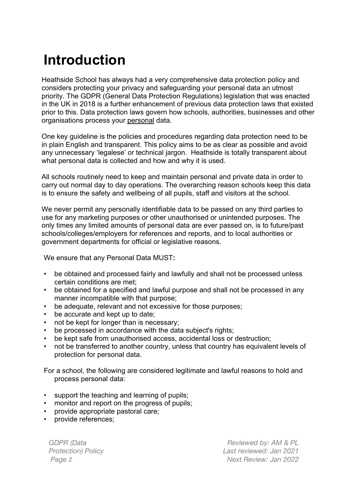## **Introduction**

Heathside School has always had a very comprehensive data protection policy and considers protecting your privacy and safeguarding your personal data an utmost priority. The GDPR (General Data Protection Regulations) legislation that was enacted in the UK in 2018 is a further enhancement of previous data protection laws that existed prior to this. Data protection laws govern how schools, authorities, businesses and other organisations process your personal data.

One key guideline is the policies and procedures regarding data protection need to be in plain English and transparent. This policy aims to be as clear as possible and avoid any unnecessary 'legalese' or technical jargon. Heathside is totally transparent about what personal data is collected and how and why it is used.

All schools routinely need to keep and maintain personal and private data in order to carry out normal day to day operations. The overarching reason schools keep this data is to ensure the safety and wellbeing of all pupils, staff and visitors at the school.

We never permit any personally identifiable data to be passed on any third parties to use for any marketing purposes or other unauthorised or unintended purposes. The only times any limited amounts of personal data are ever passed on, is to future/past schools/colleges/employers for references and reports, and to local authorities or government departments for official or legislative reasons.

We ensure that any Personal Data MUST**:**

- be obtained and processed fairly and lawfully and shall not be processed unless certain conditions are met;
- be obtained for a specified and lawful purpose and shall not be processed in any manner incompatible with that purpose;
- be adequate, relevant and not excessive for those purposes;
- be accurate and kept up to date;
- not be kept for longer than is necessary;
- be processed in accordance with the data subject's rights;
- be kept safe from unauthorised access, accidental loss or destruction;
- not be transferred to another country, unless that country has equivalent levels of protection for personal data.

For a school, the following are considered legitimate and lawful reasons to hold and process personal data:

- support the teaching and learning of pupils;
- monitor and report on the progress of pupils;
- provide appropriate pastoral care;
- provide references;

*GDPR (Data Protection) Policy*

*Reviewed by: AM & PL Last reviewed: Jan 2021 Page 2 Next Review: Jan 2022*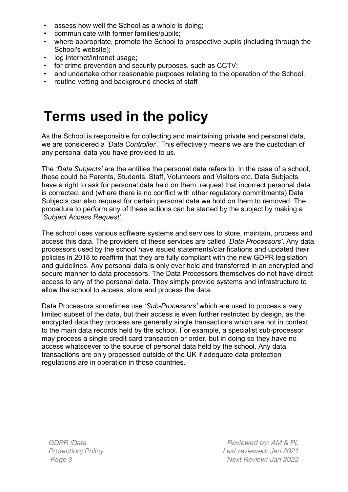- assess how well the School as a whole is doing;
- communicate with former families/pupils;
- where appropriate, promote the School to prospective pupils (including through the School's website);
- log internet/intranet usage;
- for crime prevention and security purposes, such as CCTV;
- and undertake other reasonable purposes relating to the operation of the School.
- routine vetting and background checks of staff

### **Terms used in the policy**

As the School is responsible for collecting and maintaining private and personal data, we are considered a *'Data Controller'*. This effectively means we are the custodian of any personal data you have provided to us.

The *'Data Subjects'* are the entities the personal data refers to. In the case of a school, these could be Parents, Students, Staff, Volunteers and Visitors etc. Data Subjects have a right to ask for personal data held on them, request that incorrect personal data is corrected, and (where there is no conflict with other regulatory commitments) Data Subjects can also request for certain personal data we hold on them to removed. The procedure to perform any of these actions can be started by the subject by making a *'Subject Access Request'.*

The school uses various software systems and services to store, maintain, process and access this data. The providers of these services are called *'Data Processors'*. Any data processors used by the school have issued statements/clarifications and updated their policies in 2018 to reaffirm that they are fully compliant with the new GDPR legislation and guidelines. Any personal data is only ever held and transferred in an encrypted and secure manner to data processors. The Data Processors themselves do not have direct access to any of the personal data. They simply provide systems and infrastructure to allow the school to access, store and process the data.

Data Processors sometimes use *'Sub-Processors'* which are used to process a very limited subset of the data, but their access is even further restricted by design, as the encrypted data they process are generally single transactions which are not in context to the main data records held by the school. For example, a specialist sub-processor may process a single credit card transaction or order, but in doing so they have no access whatsoever to the source of personal data held by the school. Any data transactions are only processed outside of the UK if adequate data protection regulations are in operation in those countries.

*GDPR (Data Protection) Policy*

*Reviewed by: AM & PL Last reviewed: Jan 2021 Page 3 Next Review: Jan 2022*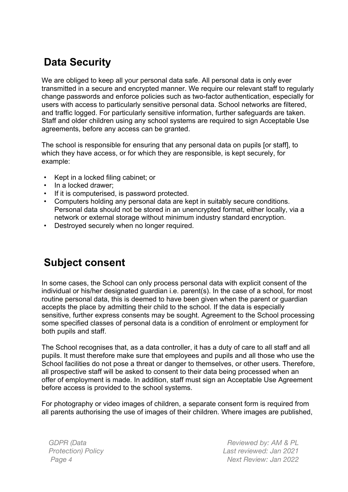### **Data Security**

We are obliged to keep all your personal data safe. All personal data is only ever transmitted in a secure and encrypted manner. We require our relevant staff to regularly change passwords and enforce policies such as two-factor authentication, especially for users with access to particularly sensitive personal data. School networks are filtered, and traffic logged. For particularly sensitive information, further safeguards are taken. Staff and older children using any school systems are required to sign Acceptable Use agreements, before any access can be granted.

The school is responsible for ensuring that any personal data on pupils [or staff], to which they have access, or for which they are responsible, is kept securely, for example:

- Kept in a locked filing cabinet; or
- In a locked drawer:
- If it is computerised, is password protected.
- Computers holding any personal data are kept in suitably secure conditions. Personal data should not be stored in an unencrypted format, either locally, via a network or external storage without minimum industry standard encryption.
- Destroyed securely when no longer required.

### **Subject consent**

In some cases, the School can only process personal data with explicit consent of the individual or his/her designated guardian i.e. parent(s). In the case of a school, for most routine personal data, this is deemed to have been given when the parent or guardian accepts the place by admitting their child to the school. If the data is especially sensitive, further express consents may be sought. Agreement to the School processing some specified classes of personal data is a condition of enrolment or employment for both pupils and staff.

The School recognises that, as a data controller, it has a duty of care to all staff and all pupils. It must therefore make sure that employees and pupils and all those who use the School facilities do not pose a threat or danger to themselves, or other users. Therefore, all prospective staff will be asked to consent to their data being processed when an offer of employment is made. In addition, staff must sign an Acceptable Use Agreement before access is provided to the school systems.

For photography or video images of children, a separate consent form is required from all parents authorising the use of images of their children. Where images are published,

*GDPR (Data Protection) Policy*

*Reviewed by: AM & PL Last reviewed: Jan 2021 Page 4 Next Review: Jan 2022*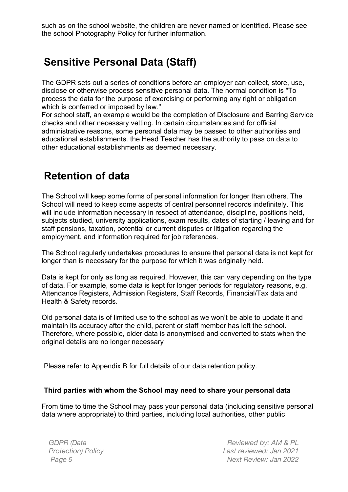such as on the school website, the children are never named or identified. Please see the school Photography Policy for further information.

### **Sensitive Personal Data (Staff)**

The GDPR sets out a series of conditions before an employer can collect, store, use, disclose or otherwise process sensitive personal data. The normal condition is "To process the data for the purpose of exercising or performing any right or obligation which is conferred or imposed by law."

For school staff, an example would be the completion of Disclosure and Barring Service checks and other necessary vetting. In certain circumstances and for official administrative reasons, some personal data may be passed to other authorities and educational establishments. the Head Teacher has the authority to pass on data to other educational establishments as deemed necessary.

#### **Retention of data**

The School will keep some forms of personal information for longer than others. The School will need to keep some aspects of central personnel records indefinitely. This will include information necessary in respect of attendance, discipline, positions held, subjects studied, university applications, exam results, dates of starting / leaving and for staff pensions, taxation, potential or current disputes or litigation regarding the employment, and information required for job references.

The School regularly undertakes procedures to ensure that personal data is not kept for longer than is necessary for the purpose for which it was originally held.

Data is kept for only as long as required. However, this can vary depending on the type of data. For example, some data is kept for longer periods for regulatory reasons, e.g. Attendance Registers, Admission Registers, Staff Records, Financial/Tax data and Health & Safety records.

Old personal data is of limited use to the school as we won't be able to update it and maintain its accuracy after the child, parent or staff member has left the school. Therefore, where possible, older data is anonymised and converted to stats when the original details are no longer necessary

Please refer to Appendix B for full details of our data retention policy.

#### **Third parties with whom the School may need to share your personal data**

From time to time the School may pass your personal data (including sensitive personal data where appropriate) to third parties, including local authorities, other public

*GDPR (Data Protection) Policy*

*Reviewed by: AM & PL Last reviewed: Jan 2021 Page 5 Next Review: Jan 2022*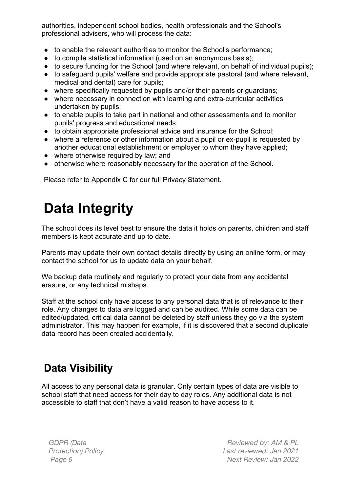authorities, independent school bodies, health professionals and the School's professional advisers, who will process the data:

- to enable the relevant authorities to monitor the School's performance;
- to compile statistical information (used on an anonymous basis);
- to secure funding for the School (and where relevant, on behalf of individual pupils);
- to safeguard pupils' welfare and provide appropriate pastoral (and where relevant, medical and dental) care for pupils;
- where specifically requested by pupils and/or their parents or guardians;
- where necessary in connection with learning and extra-curricular activities undertaken by pupils;
- to enable pupils to take part in national and other assessments and to monitor pupils' progress and educational needs;
- to obtain appropriate professional advice and insurance for the School;
- where a reference or other information about a pupil or ex-pupil is requested by another educational establishment or employer to whom they have applied;
- where otherwise required by law; and
- otherwise where reasonably necessary for the operation of the School.

Please refer to Appendix C for our full Privacy Statement.

# **Data Integrity**

The school does its level best to ensure the data it holds on parents, children and staff members is kept accurate and up to date.

Parents may update their own contact details directly by using an online form, or may contact the school for us to update data on your behalf.

We backup data routinely and regularly to protect your data from any accidental erasure, or any technical mishaps.

Staff at the school only have access to any personal data that is of relevance to their role. Any changes to data are logged and can be audited. While some data can be edited/updated, critical data cannot be deleted by staff unless they go via the system administrator. This may happen for example, if it is discovered that a second duplicate data record has been created accidentally.

### **Data Visibility**

All access to any personal data is granular. Only certain types of data are visible to school staff that need access for their day to day roles. Any additional data is not accessible to staff that don't have a valid reason to have access to it.

*GDPR (Data Protection) Policy*

*Reviewed by: AM & PL Last reviewed: Jan 2021 Page 6 Next Review: Jan 2022*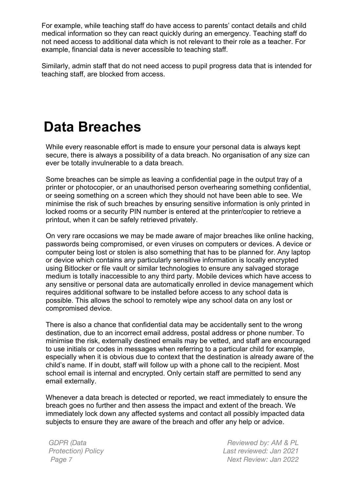For example, while teaching staff do have access to parents' contact details and child medical information so they can react quickly during an emergency. Teaching staff do not need access to additional data which is not relevant to their role as a teacher. For example, financial data is never accessible to teaching staff.

Similarly, admin staff that do not need access to pupil progress data that is intended for teaching staff, are blocked from access.

### **Data Breaches**

While every reasonable effort is made to ensure your personal data is always kept secure, there is always a possibility of a data breach. No organisation of any size can ever be totally invulnerable to a data breach.

Some breaches can be simple as leaving a confidential page in the output tray of a printer or photocopier, or an unauthorised person overhearing something confidential, or seeing something on a screen which they should not have been able to see. We minimise the risk of such breaches by ensuring sensitive information is only printed in locked rooms or a security PIN number is entered at the printer/copier to retrieve a printout, when it can be safely retrieved privately.

On very rare occasions we may be made aware of major breaches like online hacking, passwords being compromised, or even viruses on computers or devices. A device or computer being lost or stolen is also something that has to be planned for. Any laptop or device which contains any particularly sensitive information is locally encrypted using Bitlocker or file vault or similar technologies to ensure any salvaged storage medium is totally inaccessible to any third party. Mobile devices which have access to any sensitive or personal data are automatically enrolled in device management which requires additional software to be installed before access to any school data is possible. This allows the school to remotely wipe any school data on any lost or compromised device.

There is also a chance that confidential data may be accidentally sent to the wrong destination, due to an incorrect email address, postal address or phone number. To minimise the risk, externally destined emails may be vetted, and staff are encouraged to use initials or codes in messages when referring to a particular child for example, especially when it is obvious due to context that the destination is already aware of the child's name. If in doubt, staff will follow up with a phone call to the recipient. Most school email is internal and encrypted. Only certain staff are permitted to send any email externally.

Whenever a data breach is detected or reported, we react immediately to ensure the breach goes no further and then assess the impact and extent of the breach. We immediately lock down any affected systems and contact all possibly impacted data subjects to ensure they are aware of the breach and offer any help or advice.

*GDPR (Data Protection) Policy*

*Reviewed by: AM & PL Last reviewed: Jan 2021 Page 7 Next Review: Jan 2022*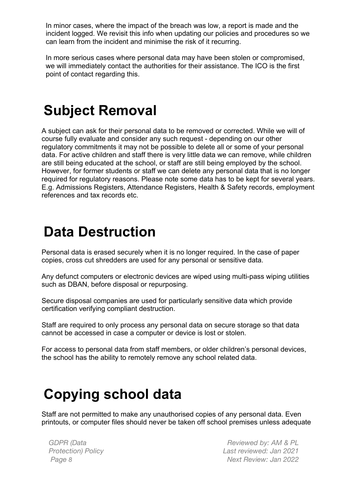In minor cases, where the impact of the breach was low, a report is made and the incident logged. We revisit this info when updating our policies and procedures so we can learn from the incident and minimise the risk of it recurring.

In more serious cases where personal data may have been stolen or compromised, we will immediately contact the authorities for their assistance. The ICO is the first point of contact regarding this.

### **Subject Removal**

A subject can ask for their personal data to be removed or corrected. While we will of course fully evaluate and consider any such request - depending on our other regulatory commitments it may not be possible to delete all or some of your personal data. For active children and staff there is very little data we can remove, while children are still being educated at the school, or staff are still being employed by the school. However, for former students or staff we can delete any personal data that is no longer required for regulatory reasons. Please note some data has to be kept for several years. E.g. Admissions Registers, Attendance Registers, Health & Safety records, employment references and tax records etc.

### **Data Destruction**

Personal data is erased securely when it is no longer required. In the case of paper copies, cross cut shredders are used for any personal or sensitive data.

Any defunct computers or electronic devices are wiped using multi-pass wiping utilities such as DBAN, before disposal or repurposing.

Secure disposal companies are used for particularly sensitive data which provide certification verifying compliant destruction.

Staff are required to only process any personal data on secure storage so that data cannot be accessed in case a computer or device is lost or stolen.

For access to personal data from staff members, or older children's personal devices, the school has the ability to remotely remove any school related data.

### **Copying school data**

Staff are not permitted to make any unauthorised copies of any personal data. Even printouts, or computer files should never be taken off school premises unless adequate

*GDPR (Data Protection) Policy*

*Reviewed by: AM & PL Last reviewed: Jan 2021 Page 8 Next Review: Jan 2022*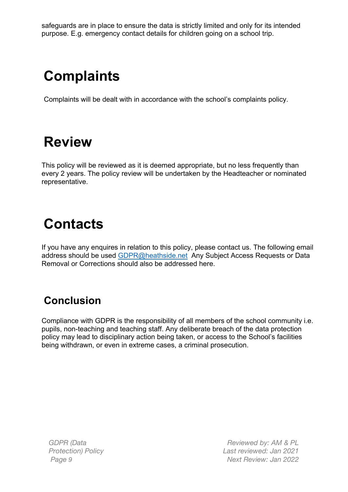safeguards are in place to ensure the data is strictly limited and only for its intended purpose. E.g. emergency contact details for children going on a school trip.

## **Complaints**

Complaints will be dealt with in accordance with the school's complaints policy.

## **Review**

This policy will be reviewed as it is deemed appropriate, but no less frequently than every 2 years. The policy review will be undertaken by the Headteacher or nominated representative.

## **Contacts**

If you have any enquires in relation to this policy, please contact us. The following email address should be used GDPR@heathside.net Any Subject Access Requests or Data Removal or Corrections should also be addressed here.

### **Conclusion**

Compliance with GDPR is the responsibility of all members of the school community i.e. pupils, non-teaching and teaching staff. Any deliberate breach of the data protection policy may lead to disciplinary action being taken, or access to the School's facilities being withdrawn, or even in extreme cases, a criminal prosecution.

*GDPR (Data Protection) Policy*

*Reviewed by: AM & PL Last reviewed: Jan 2021 Page 9 Next Review: Jan 2022*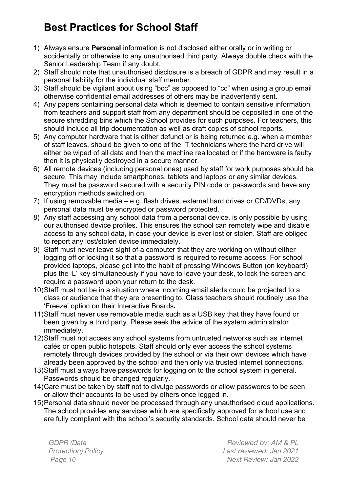### **Best Practices for School Staff**

- 1) Always ensure **Personal** information is not disclosed either orally or in writing or accidentally or otherwise to any unauthorised third party. Always double check with the Senior Leadership Team if any doubt.
- 2) Staff should note that unauthorised disclosure is a breach of GDPR and may result in a personal liability for the individual staff member.
- 3) Staff should be vigilant about using "bcc" as opposed to "cc" when using a group email otherwise confidential email addresses of others may be inadvertently sent.
- 4) Any papers containing personal data which is deemed to contain sensitive information from teachers and support staff from any department should be deposited in one of the secure shredding bins which the School provides for such purposes. For teachers, this should include all trip documentation as well as draft copies of school reports.
- 5) Any computer hardware that is either defunct or is being returned e.g. when a member of staff leaves, should be given to one of the IT technicians where the hard drive will either be wiped of all data and then the machine reallocated or if the hardware is faulty then it is physically destroyed in a secure manner.
- 6) All remote devices (including personal ones) used by staff for work purposes should be secure. This may include smartphones, tablets and laptops or any similar devices. They must be password secured with a security PIN code or passwords and have any encryption methods switched on.
- 7) If using removable media e.g. flash drives, external hard drives or CD/DVDs, any personal data must be encrypted or password protected.
- 8) Any staff accessing any school data from a personal device, is only possible by using our authorised device profiles. This ensures the school can remotely wipe and disable access to any school data, in case your device is ever lost or stolen. Staff are obliged to report any lost/stolen device immediately.
- 9) Staff must never leave sight of a computer that they are working on without either logging off or locking it so that a password is required to resume access. For school provided laptops, please get into the habit of pressing Windows Button (on keyboard) plus the 'L' key simultaneously if you have to leave your desk, to lock the screen and require a password upon your return to the desk.
- 10)Staff must not be in a situation where incoming email alerts could be projected to a class or audience that they are presenting to. Class teachers should routinely use the 'Freeze' option on their Interactive Boards**.**
- 11)Staff must never use removable media such as a USB key that they have found or been given by a third party. Please seek the advice of the system administrator immediately.
- 12)Staff must not access any school systems from untrusted networks such as internet cafés or open public hotspots. Staff should only ever access the school systems remotely through devices provided by the school or via their own devices which have already been approved by the school and then only via trusted internet connections.
- 13)Staff must always have passwords for logging on to the school system in general. Passwords should be changed regularly.
- 14)Care must be taken by staff not to divulge passwords or allow passwords to be seen, or allow their accounts to be used by others once logged in.
- 15)Personal data should never be processed through any unauthorised cloud applications. The school provides any services which are specifically approved for school use and are fully compliant with the school's security standards. School data should never be

*GDPR (Data Protection) Policy*

*Reviewed by: AM & PL Last reviewed: Jan 2021 Page 10 Next Review: Jan 2022*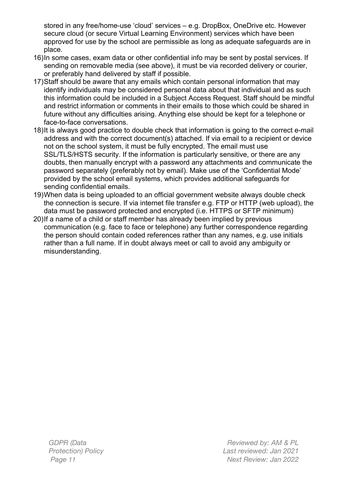stored in any free/home-use 'cloud' services – e.g. DropBox, OneDrive etc. However secure cloud (or secure Virtual Learning Environment) services which have been approved for use by the school are permissible as long as adequate safeguards are in place.

- 16)In some cases, exam data or other confidential info may be sent by postal services. If sending on removable media (see above), it must be via recorded delivery or courier, or preferably hand delivered by staff if possible.
- 17)Staff should be aware that any emails which contain personal information that may identify individuals may be considered personal data about that individual and as such this information could be included in a Subject Access Request. Staff should be mindful and restrict information or comments in their emails to those which could be shared in future without any difficulties arising. Anything else should be kept for a telephone or face-to-face conversations.
- 18)It is always good practice to double check that information is going to the correct e-mail address and with the correct document(s) attached. If via email to a recipient or device not on the school system, it must be fully encrypted. The email must use SSL/TLS/HSTS security. If the information is particularly sensitive, or there are any doubts, then manually encrypt with a password any attachments and communicate the password separately (preferably not by email). Make use of the 'Confidential Mode' provided by the school email systems, which provides additional safeguards for sending confidential emails.
- 19)When data is being uploaded to an official government website always double check the connection is secure. If via internet file transfer e.g. FTP or HTTP (web upload), the data must be password protected and encrypted (i.e. HTTPS or SFTP minimum)
- 20)If a name of a child or staff member has already been implied by previous communication (e.g. face to face or telephone) any further correspondence regarding the person should contain coded references rather than any names, e.g. use initials rather than a full name. If in doubt always meet or call to avoid any ambiguity or misunderstanding.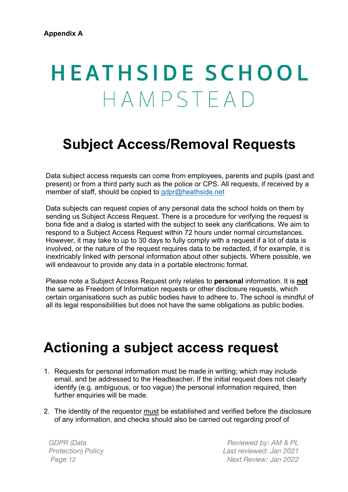# **HEATHSIDE SCHOOL** HAMPSTEAD

### **Subject Access/Removal Requests**

Data subject access requests can come from employees, parents and pupils (past and present) or from a third party such as the police or CPS. All requests, if received by a member of staff, should be copied to gdpr@heathside.net

Data subjects can request copies of any personal data the school holds on them by sending us Subject Access Request. There is a procedure for verifying the request is bona fide and a dialog is started with the subject to seek any clarifications. We aim to respond to a Subject Access Request within 72 hours under normal circumstances. However, it may take to up to 30 days to fully comply with a request if a lot of data is involved, or the nature of the request requires data to be redacted, if for example, it is inextricably linked with personal information about other subjects. Where possible, we will endeavour to provide any data in a portable electronic format.

Please note a Subject Access Request only relates to **personal** information. It is **not** the same as Freedom of Information requests or other disclosure requests, which certain organisations such as public bodies have to adhere to. The school is mindful of all its legal responsibilities but does not have the same obligations as public bodies.

### **Actioning a subject access request**

- 1. Requests for personal information must be made in writing; which may include email, and be addressed to the Headteacher**.** If the initial request does not clearly identify (e.g. ambiguous, or too vague) the personal information required, then further enquiries will be made.
- 2. The identity of the requestor must be established and verified before the disclosure of any information, and checks should also be carried out regarding proof of

*GDPR (Data Protection) Policy*

*Reviewed by: AM & PL Last reviewed: Jan 2021 Page 12 Next Review: Jan 2022*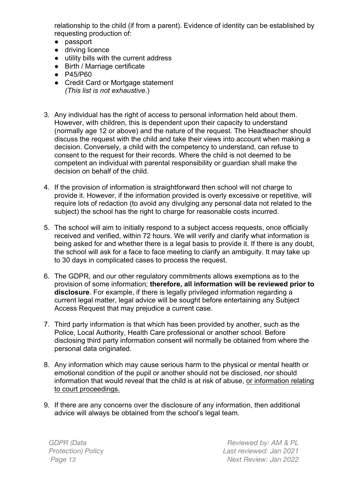relationship to the child (if from a parent). Evidence of identity can be established by requesting production of:

- passport
- driving licence
- utility bills with the current address
- Birth / Marriage certificate
- P45/P60
- Credit Card or Mortgage statement *(This list is not exhaustive*.)
- 3. Any individual has the right of access to personal information held about them. However, with children, this is dependent upon their capacity to understand (normally age 12 or above) and the nature of the request. The Headteacher should discuss the request with the child and take their views into account when making a decision. Conversely, a child with the competency to understand, can refuse to consent to the request for their records. Where the child is not deemed to be competent an individual with parental responsibility or guardian shall make the decision on behalf of the child.
- 4. If the provision of information is straightforward then school will not charge to provide it. However, if the information provided is overly excessive or repetitive, will require lots of redaction (to avoid any divulging any personal data not related to the subject) the school has the right to charge for reasonable costs incurred.
- 5. The school will aim to initially respond to a subject access requests, once officially received and verified, within 72 hours. We will verify and clarify what information is being asked for and whether there is a legal basis to provide it. If there is any doubt, the school will ask for a face to face meeting to clarify an ambiguity. It may take up to 30 days in complicated cases to process the request.
- 6. The GDPR, and our other regulatory commitments allows exemptions as to the provision of some information; **therefore, all information will be reviewed prior to disclosure**. For example, if there is legally privileged information regarding a current legal matter, legal advice will be sought before entertaining any Subject Access Request that may prejudice a current case.
- 7. Third party information is that which has been provided by another, such as the Police, Local Authority, Health Care professional or another school. Before disclosing third party information consent will normally be obtained from where the personal data originated.
- 8. Any information which may cause serious harm to the physical or mental health or emotional condition of the pupil or another should not be disclosed, nor should information that would reveal that the child is at risk of abuse, or information relating to court proceedings.
- 9. If there are any concerns over the disclosure of any information, then additional advice will always be obtained from the school's legal team.

*GDPR (Data Protection) Policy*

*Reviewed by: AM & PL Last reviewed: Jan 2021 Page 13 Next Review: Jan 2022*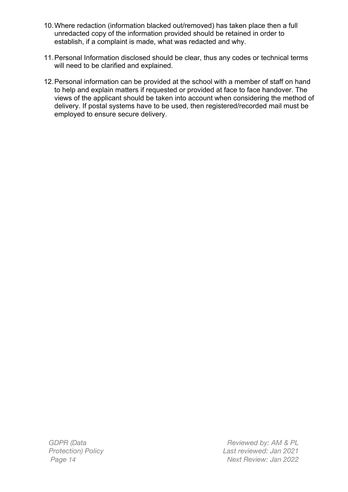- 10.Where redaction (information blacked out/removed) has taken place then a full unredacted copy of the information provided should be retained in order to establish, if a complaint is made, what was redacted and why.
- 11.Personal Information disclosed should be clear, thus any codes or technical terms will need to be clarified and explained.
- 12.Personal information can be provided at the school with a member of staff on hand to help and explain matters if requested or provided at face to face handover. The views of the applicant should be taken into account when considering the method of delivery. If postal systems have to be used, then registered/recorded mail must be employed to ensure secure delivery.

*GDPR (Data Protection) Policy*

*Reviewed by: AM & PL Last reviewed: Jan 2021 Page 14 Next Review: Jan 2022*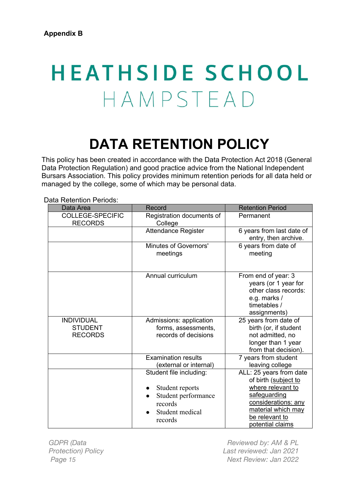# **HEATHSIDE SCHOOL** HAMPSTEAD

# **DATA RETENTION POLICY**

This policy has been created in accordance with the Data Protection Act 2018 (General Data Protection Regulation) and good practice advice from the National Independent Bursars Association. This policy provides minimum retention periods for all data held or managed by the college, some of which may be personal data.

| Jala Relehtion Penous.                                |                                                                                                              |                                                                                                                                                     |
|-------------------------------------------------------|--------------------------------------------------------------------------------------------------------------|-----------------------------------------------------------------------------------------------------------------------------------------------------|
| Data Area                                             | Record                                                                                                       | <b>Retention Period</b>                                                                                                                             |
| <b>COLLEGE-SPECIFIC</b><br><b>RECORDS</b>             | Registration documents of<br>College                                                                         | Permanent                                                                                                                                           |
|                                                       | <b>Attendance Register</b>                                                                                   | 6 years from last date of<br>entry, then archive.                                                                                                   |
|                                                       | Minutes of Governors'<br>meetings                                                                            | 6 years from date of<br>meeting                                                                                                                     |
|                                                       | Annual curriculum                                                                                            | From end of year: 3<br>years (or 1 year for<br>other class records:<br>e.g. marks /<br>timetables /<br>assignments)                                 |
| <b>INDIVIDUAL</b><br><b>STUDENT</b><br><b>RECORDS</b> | Admissions: application<br>forms, assessments,<br>records of decisions                                       | 25 years from date of<br>birth (or, if student<br>not admitted, no<br>longer than 1 year<br>from that decision).                                    |
|                                                       | <b>Examination results</b><br>(external or internal)                                                         | 7 years from student<br>leaving college                                                                                                             |
|                                                       | Student file including:<br>Student reports<br>Student performance<br>records<br>Student medical<br>$\bullet$ | ALL: 25 years from date<br>of birth (subject to<br>where relevant to<br>safeguarding<br>considerations: any<br>material which may<br>be relevant to |
|                                                       | records                                                                                                      | potential claims                                                                                                                                    |

Data Retention Periods:

*GDPR (Data Protection) Policy*

*Reviewed by: AM & PL Last reviewed: Jan 2021 Page 15 Next Review: Jan 2022*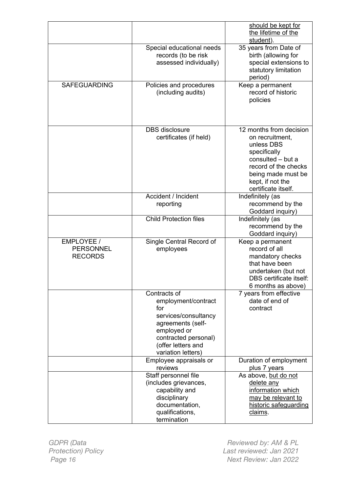|                                                  |                                                                                                                                                                            | should be kept for<br>the lifetime of the<br>student).                                                                                                                                 |
|--------------------------------------------------|----------------------------------------------------------------------------------------------------------------------------------------------------------------------------|----------------------------------------------------------------------------------------------------------------------------------------------------------------------------------------|
|                                                  | Special educational needs<br>records (to be risk<br>assessed individually)                                                                                                 | 35 years from Date of<br>birth (allowing for<br>special extensions to<br>statutory limitation<br>period)                                                                               |
| <b>SAFEGUARDING</b>                              | Policies and procedures<br>(including audits)                                                                                                                              | Keep a permanent<br>record of historic<br>policies                                                                                                                                     |
|                                                  | <b>DBS</b> disclosure<br>certificates (if held)                                                                                                                            | 12 months from decision<br>on recruitment,<br>unless DBS<br>specifically<br>consulted - but a<br>record of the checks<br>being made must be<br>kept, if not the<br>certificate itself. |
|                                                  | Accident / Incident<br>reporting                                                                                                                                           | Indefinitely (as<br>recommend by the<br>Goddard inquiry)                                                                                                                               |
|                                                  | <b>Child Protection files</b>                                                                                                                                              | Indefinitely (as<br>recommend by the<br>Goddard inquiry)                                                                                                                               |
| EMPLOYEE /<br><b>PERSONNEL</b><br><b>RECORDS</b> | Single Central Record of<br>employees                                                                                                                                      | Keep a permanent<br>record of all<br>mandatory checks<br>that have been<br>undertaken (but not<br><b>DBS</b> certificate itself:<br>6 months as above)                                 |
|                                                  | Contracts of<br>employment/contract<br>for<br>services/consultancy<br>agreements (self-<br>employed or<br>contracted personal)<br>(offer letters and<br>variation letters) | 7 years from effective<br>date of end of<br>contract                                                                                                                                   |
|                                                  | Employee appraisals or<br>reviews                                                                                                                                          | Duration of employment<br>plus 7 years                                                                                                                                                 |
|                                                  | Staff personnel file<br>(includes grievances,<br>capability and<br>disciplinary<br>documentation,<br>qualifications,<br>termination                                        | As above, but do not<br>delete any<br>information which<br>may be relevant to<br>historic safeguarding<br>claims.                                                                      |

*GDPR (Data Protection) Policy*

*Reviewed by: AM & PL Last reviewed: Jan 2021 Page 16 Next Review: Jan 2022*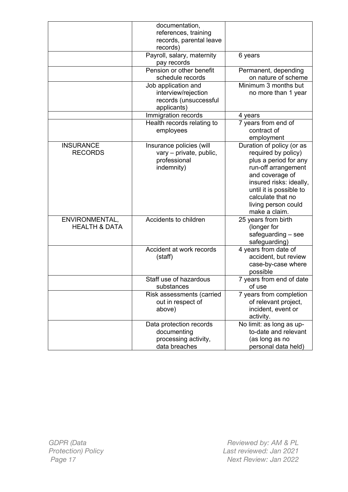|                                            | documentation,<br>references, training<br>records, parental leave<br>records)      |                                                                                                                                                                                                                                        |
|--------------------------------------------|------------------------------------------------------------------------------------|----------------------------------------------------------------------------------------------------------------------------------------------------------------------------------------------------------------------------------------|
|                                            | Payroll, salary, maternity<br>pay records                                          | 6 years                                                                                                                                                                                                                                |
|                                            | Pension or other benefit<br>schedule records                                       | Permanent, depending<br>on nature of scheme                                                                                                                                                                                            |
|                                            | Job application and<br>interview/rejection<br>records (unsuccessful<br>applicants) | Minimum 3 months but<br>no more than 1 year                                                                                                                                                                                            |
|                                            | Immigration records                                                                | 4 years                                                                                                                                                                                                                                |
|                                            | Health records relating to<br>employees                                            | 7 years from end of<br>contract of<br>employment                                                                                                                                                                                       |
| <b>INSURANCE</b><br><b>RECORDS</b>         | Insurance policies (will<br>vary - private, public,<br>professional<br>indemnity)  | Duration of policy (or as<br>required by policy)<br>plus a period for any<br>run-off arrangement<br>and coverage of<br>insured risks: ideally,<br>until it is possible to<br>calculate that no<br>living person could<br>make a claim. |
| ENVIRONMENTAL,<br><b>HEALTH &amp; DATA</b> | Accidents to children                                                              | 25 years from birth<br>(longer for<br>$safeguarding - see$<br>safeguarding)                                                                                                                                                            |
|                                            | Accident at work records<br>(staff)                                                | 4 years from date of<br>accident, but review<br>case-by-case where<br>possible                                                                                                                                                         |
|                                            | Staff use of hazardous<br>substances                                               | 7 years from end of date<br>of use                                                                                                                                                                                                     |
|                                            | Risk assessments (carried<br>out in respect of<br>above)                           | 7 years from completion<br>of relevant project,<br>incident, event or<br>activity.                                                                                                                                                     |
|                                            | Data protection records<br>documenting<br>processing activity,<br>data breaches    | No limit: as long as up-<br>to-date and relevant<br>(as long as no<br>personal data held)                                                                                                                                              |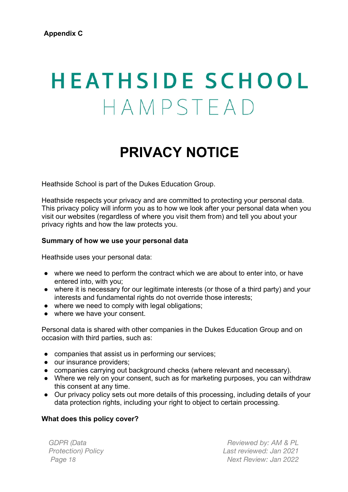# **HEATHSIDE SCHOOL** HAMPSTEAD

## **PRIVACY NOTICE**

Heathside School is part of the Dukes Education Group.

Heathside respects your privacy and are committed to protecting your personal data. This privacy policy will inform you as to how we look after your personal data when you visit our websites (regardless of where you visit them from) and tell you about your privacy rights and how the law protects you.

#### **Summary of how we use your personal data**

Heathside uses your personal data:

- where we need to perform the contract which we are about to enter into, or have entered into, with you;
- where it is necessary for our legitimate interests (or those of a third party) and your interests and fundamental rights do not override those interests:
- where we need to comply with legal obligations;
- where we have your consent.

Personal data is shared with other companies in the Dukes Education Group and on occasion with third parties, such as:

- companies that assist us in performing our services;
- our insurance providers:
- companies carrying out background checks (where relevant and necessary).
- Where we rely on your consent, such as for marketing purposes, you can withdraw this consent at any time.
- Our privacy policy sets out more details of this processing, including details of your data protection rights, including your right to object to certain processing.

#### **What does this policy cover?**

*GDPR (Data Protection) Policy*

*Reviewed by: AM & PL Last reviewed: Jan 2021 Page 18 Next Review: Jan 2022*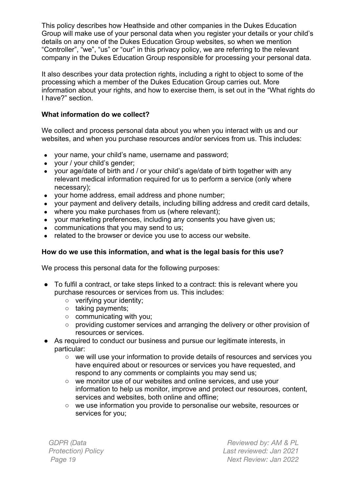This policy describes how Heathside and other companies in the Dukes Education Group will make use of your personal data when you register your details or your child's details on any one of the Dukes Education Group websites, so when we mention "Controller", "we", "us" or "our" in this privacy policy, we are referring to the relevant company in the Dukes Education Group responsible for processing your personal data.

It also describes your data protection rights, including a right to object to some of the processing which a member of the Dukes Education Group carries out. More information about your rights, and how to exercise them, is set out in the "What rights do I have?" section.

#### **What information do we collect?**

We collect and process personal data about you when you interact with us and our websites, and when you purchase resources and/or services from us. This includes:

- your name, your child's name, username and password;
- your / your child's gender;
- your age/date of birth and / or your child's age/date of birth together with any relevant medical information required for us to perform a service (only where necessary);
- your home address, email address and phone number;
- your payment and delivery details, including billing address and credit card details,
- where you make purchases from us (where relevant);
- your marketing preferences, including any consents you have given us;
- communications that you may send to us:
- related to the browser or device you use to access our website.

#### **How do we use this information, and what is the legal basis for this use?**

We process this personal data for the following purposes:

- To fulfil a contract, or take steps linked to a contract: this is relevant where you purchase resources or services from us. This includes:
	- verifying your identity;
	- taking payments;
	- communicating with you:
	- providing customer services and arranging the delivery or other provision of resources or services.
- As required to conduct our business and pursue our legitimate interests, in particular:
	- we will use your information to provide details of resources and services you have enquired about or resources or services you have requested, and respond to any comments or complaints you may send us;
	- we monitor use of our websites and online services, and use your information to help us monitor, improve and protect our resources, content, services and websites, both online and offline;
	- we use information you provide to personalise our website, resources or services for you;

*GDPR (Data Protection) Policy*

*Reviewed by: AM & PL Last reviewed: Jan 2021 Page 19 Next Review: Jan 2022*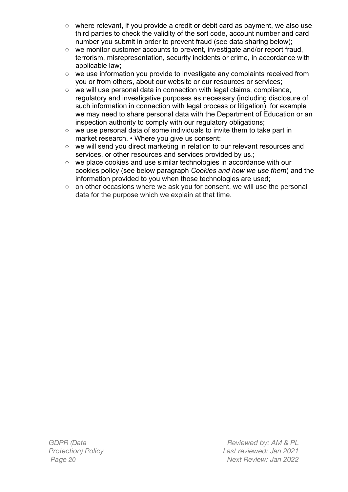- where relevant, if you provide a credit or debit card as payment, we also use third parties to check the validity of the sort code, account number and card number you submit in order to prevent fraud (see data sharing below);
- we monitor customer accounts to prevent, investigate and/or report fraud, terrorism, misrepresentation, security incidents or crime, in accordance with applicable law;
- we use information you provide to investigate any complaints received from you or from others, about our website or our resources or services;
- we will use personal data in connection with legal claims, compliance, regulatory and investigative purposes as necessary (including disclosure of such information in connection with legal process or litigation), for example we may need to share personal data with the Department of Education or an inspection authority to comply with our regulatory obligations;
- we use personal data of some individuals to invite them to take part in market research. • Where you give us consent:
- we will send you direct marketing in relation to our relevant resources and services, or other resources and services provided by us.;
- we place cookies and use similar technologies in accordance with our cookies policy (see below paragraph *Cookies and how we use them*) and the information provided to you when those technologies are used;
- on other occasions where we ask you for consent, we will use the personal data for the purpose which we explain at that time.

*GDPR (Data Protection) Policy*

*Reviewed by: AM & PL Last reviewed: Jan 2021 Page 20 Next Review: Jan 2022*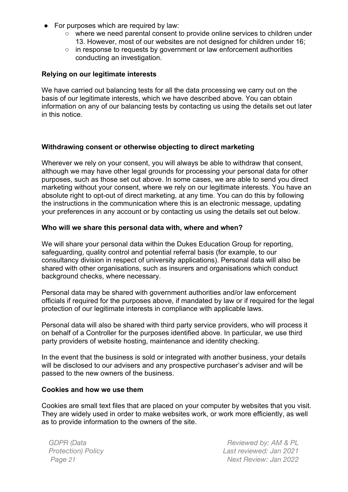- For purposes which are required by law:
	- where we need parental consent to provide online services to children under 13. However, most of our websites are not designed for children under 16;
	- in response to requests by government or law enforcement authorities conducting an investigation.

#### **Relying on our legitimate interests**

We have carried out balancing tests for all the data processing we carry out on the basis of our legitimate interests, which we have described above. You can obtain information on any of our balancing tests by contacting us using the details set out later in this notice.

#### **Withdrawing consent or otherwise objecting to direct marketing**

Wherever we rely on your consent, you will always be able to withdraw that consent, although we may have other legal grounds for processing your personal data for other purposes, such as those set out above. In some cases, we are able to send you direct marketing without your consent, where we rely on our legitimate interests. You have an absolute right to opt-out of direct marketing, at any time. You can do this by following the instructions in the communication where this is an electronic message, updating your preferences in any account or by contacting us using the details set out below.

#### **Who will we share this personal data with, where and when?**

We will share your personal data within the Dukes Education Group for reporting, safeguarding, quality control and potential referral basis (for example, to our consultancy division in respect of university applications). Personal data will also be shared with other organisations, such as insurers and organisations which conduct background checks, where necessary.

Personal data may be shared with government authorities and/or law enforcement officials if required for the purposes above, if mandated by law or if required for the legal protection of our legitimate interests in compliance with applicable laws.

Personal data will also be shared with third party service providers, who will process it on behalf of a Controller for the purposes identified above. In particular, we use third party providers of website hosting, maintenance and identity checking.

In the event that the business is sold or integrated with another business, your details will be disclosed to our advisers and any prospective purchaser's adviser and will be passed to the new owners of the business.

#### **Cookies and how we use them**

Cookies are small text files that are placed on your computer by websites that you visit. They are widely used in order to make websites work, or work more efficiently, as well as to provide information to the owners of the site.

*GDPR (Data Protection) Policy*

*Reviewed by: AM & PL Last reviewed: Jan 2021 Page 21 Next Review: Jan 2022*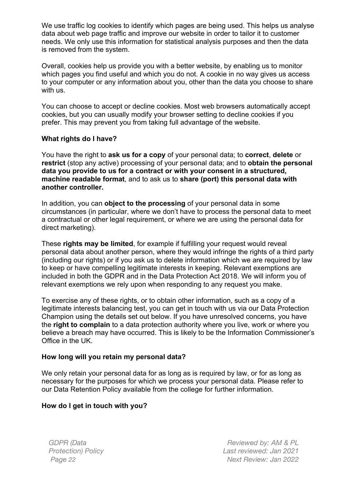We use traffic log cookies to identify which pages are being used. This helps us analyse data about web page traffic and improve our website in order to tailor it to customer needs. We only use this information for statistical analysis purposes and then the data is removed from the system.

Overall, cookies help us provide you with a better website, by enabling us to monitor which pages you find useful and which you do not. A cookie in no way gives us access to your computer or any information about you, other than the data you choose to share with us.

You can choose to accept or decline cookies. Most web browsers automatically accept cookies, but you can usually modify your browser setting to decline cookies if you prefer. This may prevent you from taking full advantage of the website.

#### **What rights do I have?**

You have the right to **ask us for a copy** of your personal data; to **correct**, **delete** or **restrict** (stop any active) processing of your personal data; and to **obtain the personal data you provide to us for a contract or with your consent in a structured, machine readable format**, and to ask us to **share (port) this personal data with another controller.** 

In addition, you can **object to the processing** of your personal data in some circumstances (in particular, where we don't have to process the personal data to meet a contractual or other legal requirement, or where we are using the personal data for direct marketing).

These **rights may be limited**, for example if fulfilling your request would reveal personal data about another person, where they would infringe the rights of a third party (including our rights) or if you ask us to delete information which we are required by law to keep or have compelling legitimate interests in keeping. Relevant exemptions are included in both the GDPR and in the Data Protection Act 2018. We will inform you of relevant exemptions we rely upon when responding to any request you make.

To exercise any of these rights, or to obtain other information, such as a copy of a legitimate interests balancing test, you can get in touch with us via our Data Protection Champion using the details set out below. If you have unresolved concerns, you have the **right to complain** to a data protection authority where you live, work or where you believe a breach may have occurred. This is likely to be the Information Commissioner's Office in the UK.

#### **How long will you retain my personal data?**

We only retain your personal data for as long as is required by law, or for as long as necessary for the purposes for which we process your personal data. Please refer to our Data Retention Policy available from the college for further information.

#### **How do I get in touch with you?**

*GDPR (Data Protection) Policy*

*Reviewed by: AM & PL Last reviewed: Jan 2021 Page 22 Next Review: Jan 2022*